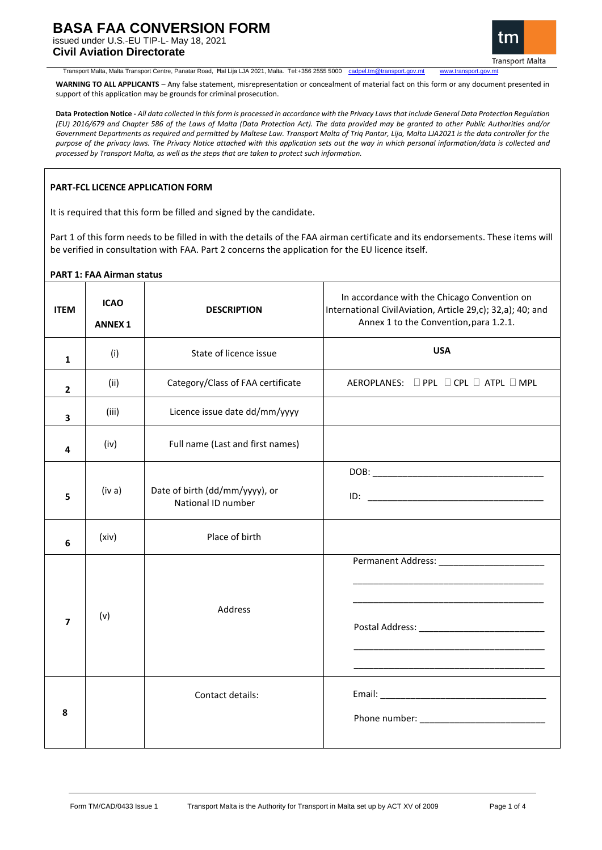# **BASA FAA CONVERSION FORM**  issued under U.S.-EU TIP-L- May 18, 2021 **Civil Aviation Directorate**



Transport Malta, Malta Transport Centre, Panatar Road, Ħal Lija LJA 2021, Malta. Tel:+356 2555 5000 cadp

**WARNING TO ALL APPLICANTS** – Any false statement, misrepresentation or concealment of material fact on this form or any document presented in support of this application may be grounds for criminal prosecution.

**Data Protection Notice -** *All data collected in this form is processed in accordance with the Privacy Laws that include General Data Protection Regulation (EU) 2016/679 and Chapter 586 of the Laws of Malta (Data Protection Act). The data provided may be granted to other Public Authorities and/or Government Departments as required and permitted by Maltese Law. Transport Malta of Triq Pantar, Lija, Malta LJA2021 is the data controller for the purpose of the privacy laws. The Privacy Notice attached with this application sets out the way in which personal information/data is collected and processed by Transport Malta, as well as the steps that are taken to protect such information.*

### **PART-FCL LICENCE APPLICATION FORM**

It is required that this form be filled and signed by the candidate.

Part 1 of this form needs to be filled in with the details of the FAA airman certificate and its endorsements. These items will be verified in consultation with FAA. Part 2 concerns the application for the EU licence itself.

### **PART 1: FAA Airman status**

| <b>ITEM</b>    | <b>ICAO</b><br><b>ANNEX 1</b> | <b>DESCRIPTION</b>                                   | In accordance with the Chicago Convention on<br>International CivilAviation, Article 29,c); 32,a); 40; and<br>Annex 1 to the Convention, para 1.2.1. |  |
|----------------|-------------------------------|------------------------------------------------------|------------------------------------------------------------------------------------------------------------------------------------------------------|--|
| $\mathbf{1}$   | (i)                           | State of licence issue                               | <b>USA</b>                                                                                                                                           |  |
| 2              | (ii)                          | Category/Class of FAA certificate                    | AEROPLANES: D PPL D CPL D ATPL D MPL                                                                                                                 |  |
| 3              | (iii)                         | Licence issue date dd/mm/yyyy                        |                                                                                                                                                      |  |
| 4              | (iv)                          | Full name (Last and first names)                     |                                                                                                                                                      |  |
| 5              | (iv a)                        | Date of birth (dd/mm/yyyy), or<br>National ID number |                                                                                                                                                      |  |
| 6              | (xiv)                         | Place of birth                                       |                                                                                                                                                      |  |
| $\overline{7}$ | (v)                           | Address                                              |                                                                                                                                                      |  |
| 8              |                               | Contact details:                                     |                                                                                                                                                      |  |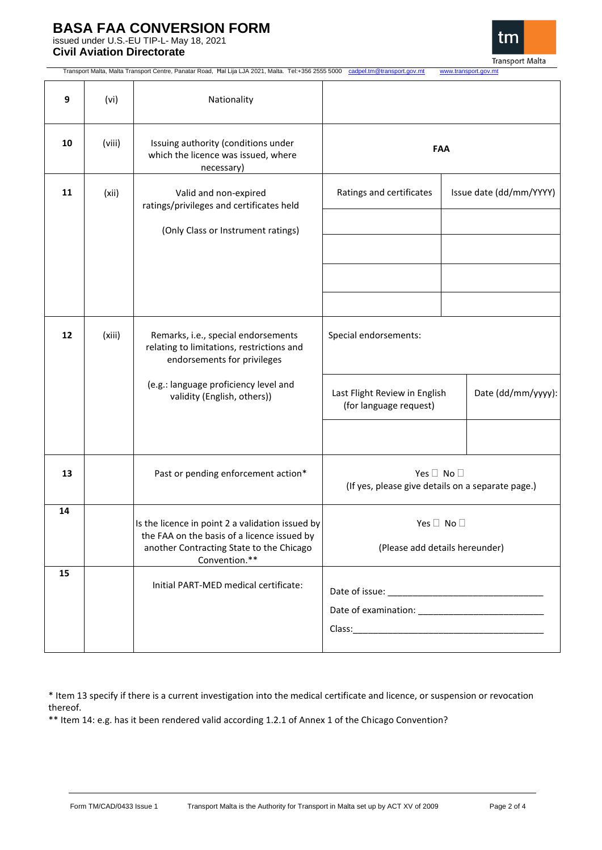# **BASA FAA CONVERSION FORM**

issued under U.S.-EU TIP-L- May 18, 2021 **Civil Aviation Directorate** 



Transport Malta, Malta Transport Centre, Panatar Road, Ħal Lija LJA 2021, Malta. Tel:+356 2555 5000 [cadpel.tm@transport.gov.mt](mailto:cadpel.tm@transport.gov.mt) www.transp

| $\boldsymbol{9}$ | (vi)   | Nationality                                                                                                     |                                                                           |                         |
|------------------|--------|-----------------------------------------------------------------------------------------------------------------|---------------------------------------------------------------------------|-------------------------|
| 10               | (viii) | Issuing authority (conditions under<br>which the licence was issued, where<br>necessary)                        | <b>FAA</b>                                                                |                         |
| 11               | (xii)  | Valid and non-expired<br>ratings/privileges and certificates held                                               | Ratings and certificates                                                  | Issue date (dd/mm/YYYY) |
|                  |        | (Only Class or Instrument ratings)                                                                              |                                                                           |                         |
|                  |        |                                                                                                                 |                                                                           |                         |
|                  |        |                                                                                                                 |                                                                           |                         |
|                  |        |                                                                                                                 |                                                                           |                         |
| 12               | (xiii) | Remarks, i.e., special endorsements<br>relating to limitations, restrictions and<br>endorsements for privileges | Special endorsements:                                                     |                         |
|                  |        | (e.g.: language proficiency level and<br>validity (English, others))                                            | Last Flight Review in English<br>(for language request)                   | Date (dd/mm/yyyy):      |
|                  |        |                                                                                                                 |                                                                           |                         |
| 13               |        | Past or pending enforcement action*                                                                             | Yes $\Box$ No $\Box$<br>(If yes, please give details on a separate page.) |                         |
| 14               |        | Is the licence in point 2 a validation issued by                                                                | Yes $\Box$ No $\Box$                                                      |                         |
|                  |        | the FAA on the basis of a licence issued by<br>another Contracting State to the Chicago<br>Convention.**        | (Please add details hereunder)                                            |                         |
| 15               |        | Initial PART-MED medical certificate:                                                                           |                                                                           |                         |
|                  |        |                                                                                                                 |                                                                           |                         |
|                  |        |                                                                                                                 |                                                                           |                         |
|                  |        |                                                                                                                 |                                                                           |                         |

\* Item 13 specify if there is a current investigation into the medical certificate and licence, or suspension or revocation thereof.

\*\* Item 14: e.g. has it been rendered valid according 1.2.1 of Annex 1 of the Chicago Convention?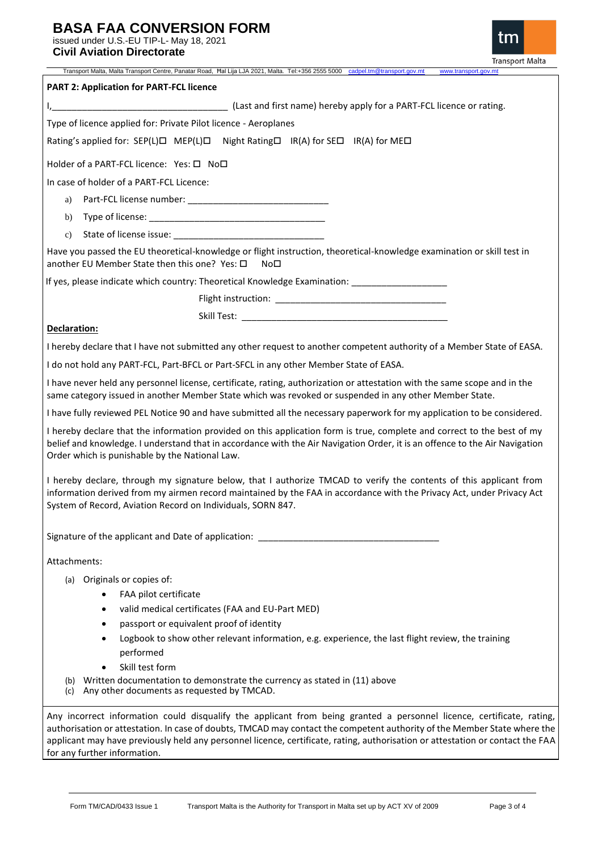# **BASA FAA CONVERSION FORM**

issued under U.S.-EU TIP-L- May 18, 2021

# **Civil Aviation Directorate**



| Transport Malta                                                                                                                                                                                                                                                                                                                                                                                                     |
|---------------------------------------------------------------------------------------------------------------------------------------------------------------------------------------------------------------------------------------------------------------------------------------------------------------------------------------------------------------------------------------------------------------------|
| Transport Malta, Malta Transport Centre, Panatar Road, Hal Lija LJA 2021, Malta. Tel:+356 2555 5000 cadpel.tm@transport.gov.mt<br>www.transport.gov.mt                                                                                                                                                                                                                                                              |
| <b>PART 2: Application for PART-FCL licence</b>                                                                                                                                                                                                                                                                                                                                                                     |
| I, 1, 2008 (Last and first name) hereby apply for a PART-FCL licence or rating.                                                                                                                                                                                                                                                                                                                                     |
| Type of licence applied for: Private Pilot licence - Aeroplanes                                                                                                                                                                                                                                                                                                                                                     |
| Rating's applied for: SEP(L)□ MEP(L)□ Night Rating□ IR(A) for SE□ IR(A) for ME□                                                                                                                                                                                                                                                                                                                                     |
| Holder of a PART-FCL licence: Yes: □ No□                                                                                                                                                                                                                                                                                                                                                                            |
| In case of holder of a PART-FCL Licence:                                                                                                                                                                                                                                                                                                                                                                            |
| a)                                                                                                                                                                                                                                                                                                                                                                                                                  |
| b)                                                                                                                                                                                                                                                                                                                                                                                                                  |
| c)                                                                                                                                                                                                                                                                                                                                                                                                                  |
| Have you passed the EU theoretical-knowledge or flight instruction, theoretical-knowledge examination or skill test in<br>another EU Member State then this one? Yes: $\Box$<br>No⊡                                                                                                                                                                                                                                 |
| If yes, please indicate which country: Theoretical Knowledge Examination: _________________________                                                                                                                                                                                                                                                                                                                 |
|                                                                                                                                                                                                                                                                                                                                                                                                                     |
|                                                                                                                                                                                                                                                                                                                                                                                                                     |
| Declaration:                                                                                                                                                                                                                                                                                                                                                                                                        |
| I hereby declare that I have not submitted any other request to another competent authority of a Member State of EASA.                                                                                                                                                                                                                                                                                              |
| I do not hold any PART-FCL, Part-BFCL or Part-SFCL in any other Member State of EASA.                                                                                                                                                                                                                                                                                                                               |
| I have never held any personnel license, certificate, rating, authorization or attestation with the same scope and in the<br>same category issued in another Member State which was revoked or suspended in any other Member State.                                                                                                                                                                                 |
| I have fully reviewed PEL Notice 90 and have submitted all the necessary paperwork for my application to be considered.                                                                                                                                                                                                                                                                                             |
| I hereby declare that the information provided on this application form is true, complete and correct to the best of my<br>belief and knowledge. I understand that in accordance with the Air Navigation Order, it is an offence to the Air Navigation<br>Order which is punishable by the National Law.                                                                                                            |
| I hereby declare, through my signature below, that I authorize TMCAD to verify the contents of this applicant from<br>information derived from my airmen record maintained by the FAA in accordance with the Privacy Act, under Privacy Act<br>System of Record, Aviation Record on Individuals, SORN 847.                                                                                                          |
| Signature of the applicant and Date of application:                                                                                                                                                                                                                                                                                                                                                                 |
| Attachments:                                                                                                                                                                                                                                                                                                                                                                                                        |
| (a) Originals or copies of:                                                                                                                                                                                                                                                                                                                                                                                         |
| FAA pilot certificate                                                                                                                                                                                                                                                                                                                                                                                               |
| valid medical certificates (FAA and EU-Part MED)                                                                                                                                                                                                                                                                                                                                                                    |
| passport or equivalent proof of identity<br>٠                                                                                                                                                                                                                                                                                                                                                                       |
| Logbook to show other relevant information, e.g. experience, the last flight review, the training                                                                                                                                                                                                                                                                                                                   |
| performed                                                                                                                                                                                                                                                                                                                                                                                                           |
| Skill test form                                                                                                                                                                                                                                                                                                                                                                                                     |
| Written documentation to demonstrate the currency as stated in (11) above<br>(b)<br>Any other documents as requested by TMCAD.<br>(c)                                                                                                                                                                                                                                                                               |
| Any incorrect information could disqualify the applicant from being granted a personnel licence, certificate, rating,<br>authorisation or attestation. In case of doubts, TMCAD may contact the competent authority of the Member State where the<br>applicant may have previously held any personnel licence, certificate, rating, authorisation or attestation or contact the FAA<br>for any further information. |